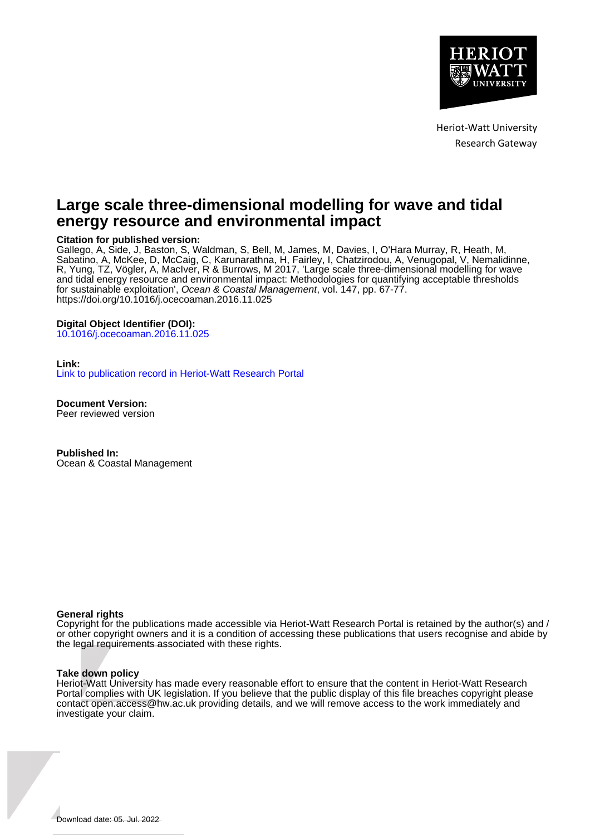

Heriot-Watt University Research Gateway

# **Large scale three-dimensional modelling for wave and tidal energy resource and environmental impact**

#### **Citation for published version:**

Gallego, A, Side, J, Baston, S, Waldman, S, Bell, M, James, M, Davies, I, O'Hara Murray, R, Heath, M, Sabatino, A, McKee, D, McCaig, C, Karunarathna, H, Fairley, I, Chatzirodou, A, Venugopal, V, Nemalidinne, R, Yung, TZ, Vögler, A, MacIver, R & Burrows, M 2017, 'Large scale three-dimensional modelling for wave and tidal energy resource and environmental impact: Methodologies for quantifying acceptable thresholds for sustainable exploitation', Ocean & Coastal Management, vol. 147, pp. 67-77. <https://doi.org/10.1016/j.ocecoaman.2016.11.025>

#### **Digital Object Identifier (DOI):**

[10.1016/j.ocecoaman.2016.11.025](https://doi.org/10.1016/j.ocecoaman.2016.11.025)

#### **Link:**

[Link to publication record in Heriot-Watt Research Portal](https://researchportal.hw.ac.uk/en/publications/9ea02214-ad1f-40cd-a588-c82cbe540080)

**Document Version:** Peer reviewed version

**Published In:** Ocean & Coastal Management

#### **General rights**

Copyright for the publications made accessible via Heriot-Watt Research Portal is retained by the author(s) and / or other copyright owners and it is a condition of accessing these publications that users recognise and abide by the legal requirements associated with these rights.

#### **Take down policy**

Heriot-Watt University has made every reasonable effort to ensure that the content in Heriot-Watt Research Portal complies with UK legislation. If you believe that the public display of this file breaches copyright please contact open.access@hw.ac.uk providing details, and we will remove access to the work immediately and investigate your claim.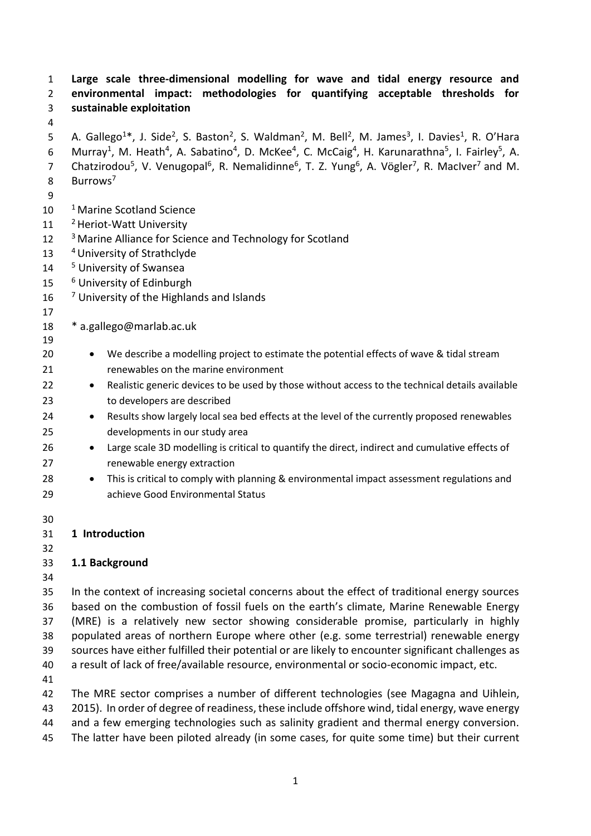**Large scale three-dimensional modelling for wave and tidal energy resource and environmental impact: methodologies for quantifying acceptable thresholds for sustainable exploitation** 5 A. Gallego<sup>1\*</sup>, J. Side<sup>2</sup>, S. Baston<sup>2</sup>, S. Waldman<sup>2</sup>, M. Bell<sup>2</sup>, M. James<sup>3</sup>, I. Davies<sup>1</sup>, R. O'Hara 6 Murray<sup>1</sup>, M. Heath<sup>4</sup>, A. Sabatino<sup>4</sup>, D. McKee<sup>4</sup>, C. McCaig<sup>4</sup>, H. Karunarathna<sup>5</sup>, I. Fairley<sup>5</sup>, A. 7 Chatzirodou<sup>5</sup>, V. Venugopal<sup>6</sup>, R. Nemalidinne<sup>6</sup>, T. Z. Yung<sup>6</sup>, A. Vögler<sup>7</sup>, R. MacIver<sup>7</sup> and M. 8 Burrows<sup>7</sup> 10 <sup>1</sup> Marine Scotland Science 11 <sup>2</sup> Heriot-Watt University 12 <sup>3</sup> Marine Alliance for Science and Technology for Scotland 13 <sup>4</sup> University of Strathclyde 14 <sup>5</sup> University of Swansea 15 <sup>6</sup> University of Edinburgh 16 <sup>7</sup> University of the Highlands and Islands \* a.gallego@marlab.ac.uk We describe a modelling project to estimate the potential effects of wave & tidal stream renewables on the marine environment 22 e Realistic generic devices to be used by those without access to the technical details available to developers are described 24 
Sesset are show largely local sea bed effects at the level of the currently proposed renewables developments in our study area **•** Large scale 3D modelling is critical to quantify the direct, indirect and cumulative effects of renewable energy extraction 28 • This is critical to comply with planning & environmental impact assessment regulations and achieve Good Environmental Status **1 Introduction 1.1 Background**

 In the context of increasing societal concerns about the effect of traditional energy sources based on the combustion of fossil fuels on the earth's climate, Marine Renewable Energy (MRE) is a relatively new sector showing considerable promise, particularly in highly populated areas of northern Europe where other (e.g. some terrestrial) renewable energy sources have either fulfilled their potential or are likely to encounter significant challenges as a result of lack of free/available resource, environmental or socio-economic impact, etc.

 The MRE sector comprises a number of different technologies (see Magagna and Uihlein, 2015). In order of degree of readiness, these include offshore wind, tidal energy, wave energy 44 and a few emerging technologies such as salinity gradient and thermal energy conversion. The latter have been piloted already (in some cases, for quite some time) but their current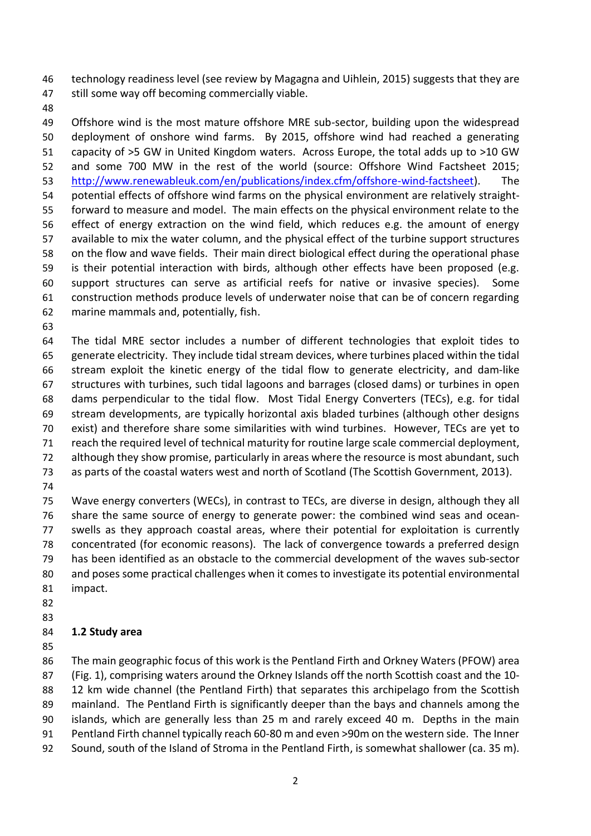technology readiness level (see review by Magagna and Uihlein, 2015) suggests that they are

- still some way off becoming commercially viable.
- 

 Offshore wind is the most mature offshore MRE sub-sector, building upon the widespread deployment of onshore wind farms. By 2015, offshore wind had reached a generating capacity of >5 GW in United Kingdom waters. Across Europe, the total adds up to >10 GW and some 700 MW in the rest of the world (source: Offshore Wind Factsheet 2015; [http://www.renewableuk.com/en/publications/index.cfm/offshore-wind-factsheet\)](http://www.renewableuk.com/en/publications/index.cfm/offshore-wind-factsheet). The potential effects of offshore wind farms on the physical environment are relatively straight- forward to measure and model. The main effects on the physical environment relate to the effect of energy extraction on the wind field, which reduces e.g. the amount of energy available to mix the water column, and the physical effect of the turbine support structures on the flow and wave fields. Their main direct biological effect during the operational phase is their potential interaction with birds, although other effects have been proposed (e.g. support structures can serve as artificial reefs for native or invasive species). Some construction methods produce levels of underwater noise that can be of concern regarding marine mammals and, potentially, fish.

 The tidal MRE sector includes a number of different technologies that exploit tides to generate electricity. They include tidal stream devices, where turbines placed within the tidal stream exploit the kinetic energy of the tidal flow to generate electricity, and dam-like structures with turbines, such tidal lagoons and barrages (closed dams) or turbines in open dams perpendicular to the tidal flow. Most Tidal Energy Converters (TECs), e.g. for tidal stream developments, are typically horizontal axis bladed turbines (although other designs exist) and therefore share some similarities with wind turbines. However, TECs are yet to reach the required level of technical maturity for routine large scale commercial deployment, 72 although they show promise, particularly in areas where the resource is most abundant, such as parts of the coastal waters west and north of Scotland (The Scottish Government, 2013).

 Wave energy converters (WECs), in contrast to TECs, are diverse in design, although they all share the same source of energy to generate power: the combined wind seas and ocean- swells as they approach coastal areas, where their potential for exploitation is currently concentrated (for economic reasons). The lack of convergence towards a preferred design has been identified as an obstacle to the commercial development of the waves sub-sector and poses some practical challenges when it comes to investigate its potential environmental impact.

 

# **1.2 Study area**

 The main geographic focus of this work is the Pentland Firth and Orkney Waters (PFOW) area (Fig. 1), comprising waters around the Orkney Islands off the north Scottish coast and the 10- 12 km wide channel (the Pentland Firth) that separates this archipelago from the Scottish mainland. The Pentland Firth is significantly deeper than the bays and channels among the islands, which are generally less than 25 m and rarely exceed 40 m. Depths in the main Pentland Firth channel typically reach 60-80 m and even >90m on the western side. The Inner Sound, south of the Island of Stroma in the Pentland Firth, is somewhat shallower (ca. 35 m).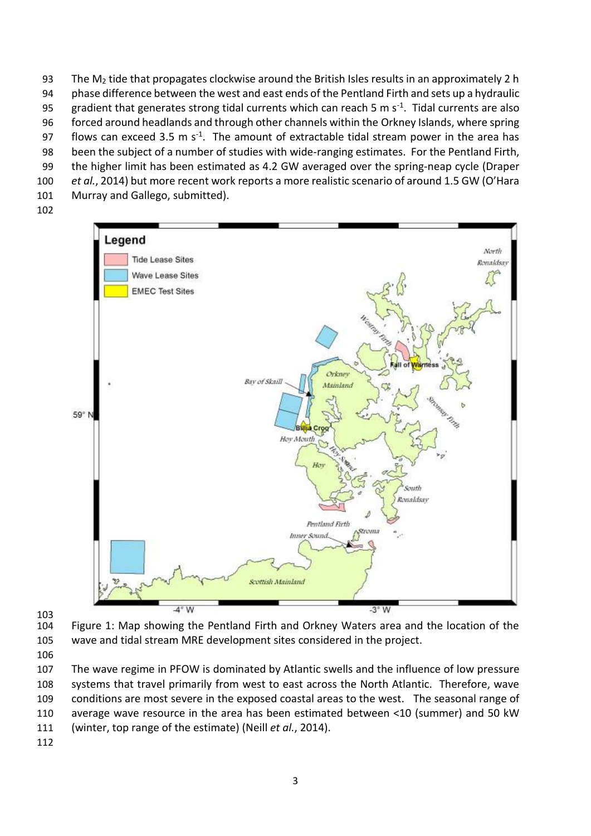The M<sup>2</sup> tide that propagates clockwise around the British Isles results in an approximately 2 h phase difference between the west and east ends of the Pentland Firth and sets up a hydraulic 95 gradient that generates strong tidal currents which can reach 5 m  $s^{-1}$ . Tidal currents are also forced around headlands and through other channels within the Orkney Islands, where spring 97 flows can exceed 3.5 m  $s<sup>-1</sup>$ . The amount of extractable tidal stream power in the area has been the subject of a number of studies with wide-ranging estimates. For the Pentland Firth, the higher limit has been estimated as 4.2 GW averaged over the spring-neap cycle (Draper *et al.*, 2014) but more recent work reports a more realistic scenario of around 1.5 GW (O'Hara Murray and Gallego, submitted).





- Figure 1: Map showing the Pentland Firth and Orkney Waters area and the location of the wave and tidal stream MRE development sites considered in the project.
- 

 The wave regime in PFOW is dominated by Atlantic swells and the influence of low pressure systems that travel primarily from west to east across the North Atlantic. Therefore, wave

conditions are most severe in the exposed coastal areas to the west. The seasonal range of

average wave resource in the area has been estimated between <10 (summer) and 50 kW

- (winter, top range of the estimate) (Neill *et al.*, 2014).
-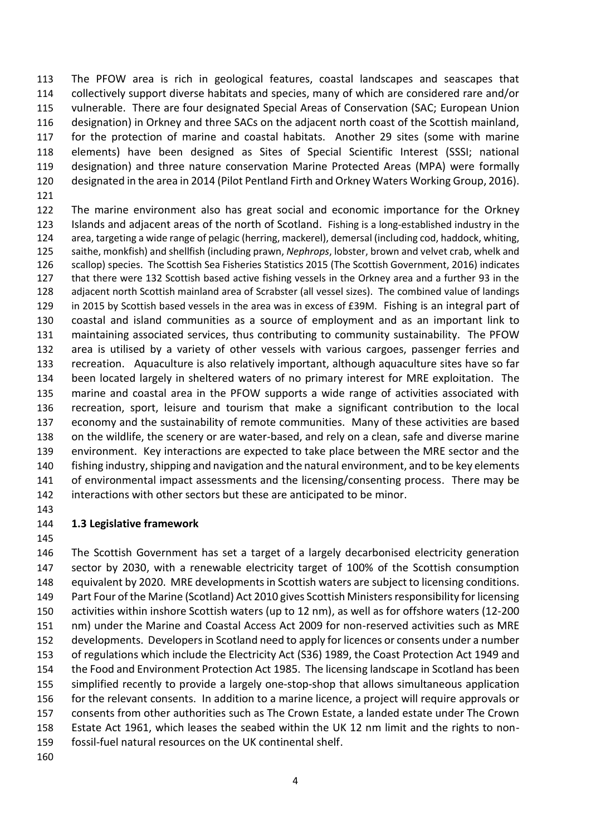The PFOW area is rich in geological features, coastal landscapes and seascapes that collectively support diverse habitats and species, many of which are considered rare and/or vulnerable. There are four designated Special Areas of Conservation (SAC; European Union designation) in Orkney and three SACs on the adjacent north coast of the Scottish mainland, for the protection of marine and coastal habitats. Another 29 sites (some with marine elements) have been designed as Sites of Special Scientific Interest (SSSI; national designation) and three nature conservation Marine Protected Areas (MPA) were formally designated in the area in 2014 (Pilot Pentland Firth and Orkney Waters Working Group, 2016).

 The marine environment also has great social and economic importance for the Orkney Islands and adjacent areas of the north of Scotland. Fishing is a long-established industry in the area, targeting a wide range of pelagic (herring, mackerel), demersal (including cod, haddock, whiting, saithe, monkfish) and shellfish (including prawn, *Nephrops*, lobster, brown and velvet crab, whelk and scallop) species. The Scottish Sea Fisheries Statistics 2015 (The Scottish Government, 2016) indicates that there were 132 Scottish based active fishing vessels in the Orkney area and a further 93 in the adjacent north Scottish mainland area of Scrabster (all vessel sizes). The combined value of landings in 2015 by Scottish based vessels in the area was in excess of £39M. Fishing is an integral part of coastal and island communities as a source of employment and as an important link to maintaining associated services, thus contributing to community sustainability. The PFOW area is utilised by a variety of other vessels with various cargoes, passenger ferries and recreation. Aquaculture is also relatively important, although aquaculture sites have so far been located largely in sheltered waters of no primary interest for MRE exploitation. The marine and coastal area in the PFOW supports a wide range of activities associated with recreation, sport, leisure and tourism that make a significant contribution to the local economy and the sustainability of remote communities. Many of these activities are based on the wildlife, the scenery or are water-based, and rely on a clean, safe and diverse marine environment. Key interactions are expected to take place between the MRE sector and the fishing industry, shipping and navigation and the natural environment, and to be key elements of environmental impact assessments and the licensing/consenting process. There may be interactions with other sectors but these are anticipated to be minor.

## **1.3 Legislative framework**

 The Scottish Government has set a target of a largely decarbonised electricity generation sector by 2030, with a renewable electricity target of 100% of the Scottish consumption equivalent by 2020. MRE developments in Scottish waters are subject to licensing conditions. Part Four of the Marine (Scotland) Act 2010 gives Scottish Ministers responsibility for licensing activities within inshore Scottish waters (up to 12 nm), as well as for offshore waters (12-200 nm) under the Marine and Coastal Access Act 2009 for non-reserved activities such as MRE developments. Developers in Scotland need to apply for licences or consents under a number of regulations which include the Electricity Act (S36) 1989, the Coast Protection Act 1949 and the Food and Environment Protection Act 1985. The licensing landscape in Scotland has been simplified recently to provide a largely one-stop-shop that allows simultaneous application for the relevant consents. In addition to a marine licence, a project will require approvals or consents from other authorities such as The Crown Estate, a landed estate under The Crown Estate Act 1961, which leases the seabed within the UK 12 nm limit and the rights to non- fossil-fuel natural resources on the UK continental shelf.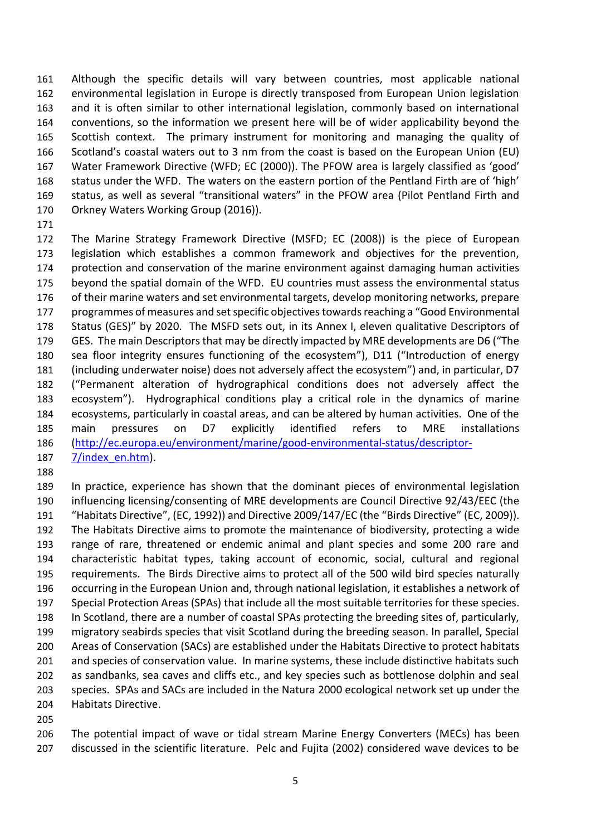Although the specific details will vary between countries, most applicable national environmental legislation in Europe is directly transposed from European Union legislation and it is often similar to other international legislation, commonly based on international conventions, so the information we present here will be of wider applicability beyond the Scottish context. The primary instrument for monitoring and managing the quality of Scotland's coastal waters out to 3 nm from the coast is based on the European Union (EU) Water Framework Directive (WFD; EC (2000)). The PFOW area is largely classified as 'good' status under the WFD. The waters on the eastern portion of the Pentland Firth are of 'high' status, as well as several "transitional waters" in the PFOW area (Pilot Pentland Firth and Orkney Waters Working Group (2016)).

 The Marine Strategy Framework Directive (MSFD; EC (2008)) is the piece of European legislation which establishes a common framework and objectives for the prevention, protection and conservation of the marine environment against damaging human activities beyond the spatial domain of the WFD. EU countries must assess the environmental status of their marine waters and set environmental targets, develop monitoring networks, prepare programmes of measures and set specific objectives towards reaching a "Good Environmental Status (GES)" by 2020. The MSFD sets out, in its Annex I, eleven qualitative Descriptors of GES. The main Descriptors that may be directly impacted by MRE developments are D6 ("The sea floor integrity ensures functioning of the ecosystem"), D11 ("Introduction of energy (including underwater noise) does not adversely affect the ecosystem") and, in particular, D7 ("Permanent alteration of hydrographical conditions does not adversely affect the ecosystem"). Hydrographical conditions play a critical role in the dynamics of marine ecosystems, particularly in coastal areas, and can be altered by human activities. One of the main pressures on D7 explicitly identified refers to MRE installations [\(http://ec.europa.eu/environment/marine/good-environmental-status/descriptor-](http://ec.europa.eu/environment/marine/good-environmental-status/descriptor-7/index_en.htm)187 7/index en.htm).

 In practice, experience has shown that the dominant pieces of environmental legislation influencing licensing/consenting of MRE developments are Council Directive 92/43/EEC (the "Habitats Directive", (EC, 1992)) and Directive 2009/147/EC (the "Birds Directive" (EC, 2009)). The Habitats Directive aims to promote the maintenance of biodiversity, protecting a wide range of rare, threatened or endemic animal and plant species and some 200 rare and characteristic habitat types, taking account of economic, social, cultural and regional requirements. The Birds Directive aims to protect all of the 500 wild bird species naturally occurring in the European Union and, through national legislation, it establishes a network of Special Protection Areas (SPAs) that include all the most suitable territories for these species. In Scotland, there are a number of coastal SPAs protecting the breeding sites of, particularly, migratory seabirds species that visit Scotland during the breeding season. In parallel, Special Areas of Conservation (SACs) are established under the Habitats Directive to protect habitats 201 and species of conservation value. In marine systems, these include distinctive habitats such as sandbanks, sea caves and cliffs etc., and key species such as bottlenose dolphin and seal species. SPAs and SACs are included in the Natura 2000 ecological network set up under the Habitats Directive.

 The potential impact of wave or tidal stream Marine Energy Converters (MECs) has been discussed in the scientific literature. Pelc and Fujita (2002) considered wave devices to be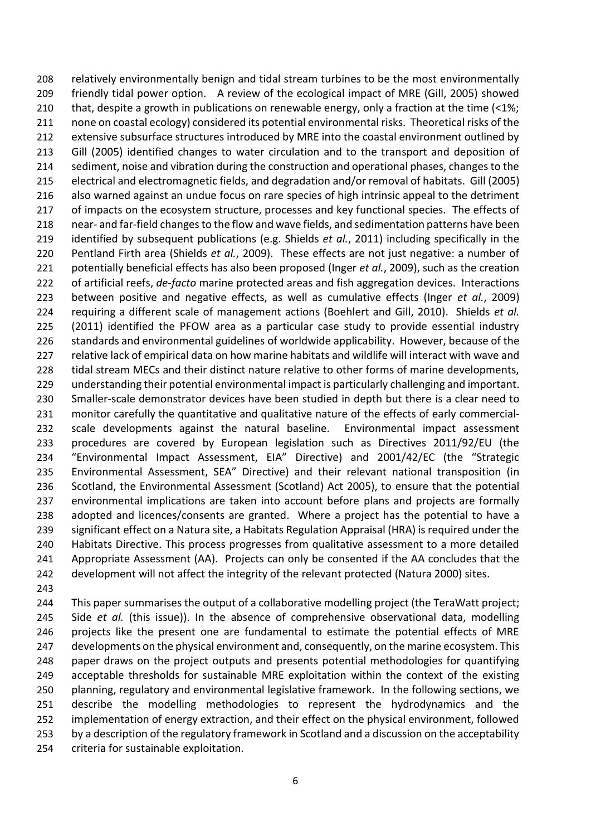relatively environmentally benign and tidal stream turbines to be the most environmentally friendly tidal power option. A review of the ecological impact of MRE (Gill, 2005) showed 210 that, despite a growth in publications on renewable energy, only a fraction at the time  $\langle$ <1%; none on coastal ecology) considered its potential environmental risks. Theoretical risks of the 212 extensive subsurface structures introduced by MRE into the coastal environment outlined by Gill (2005) identified changes to water circulation and to the transport and deposition of sediment, noise and vibration during the construction and operational phases, changes to the electrical and electromagnetic fields, and degradation and/or removal of habitats. Gill (2005) also warned against an undue focus on rare species of high intrinsic appeal to the detriment 217 of impacts on the ecosystem structure, processes and key functional species. The effects of near- and far-field changes to the flow and wave fields, and sedimentation patterns have been identified by subsequent publications (e.g. Shields *et al.*, 2011) including specifically in the Pentland Firth area (Shields *et al.*, 2009). These effects are not just negative: a number of potentially beneficial effects has also been proposed (Inger *et al.*, 2009), such as the creation of artificial reefs, *de-facto* marine protected areas and fish aggregation devices. Interactions between positive and negative effects, as well as cumulative effects (Inger *et al.*, 2009) requiring a different scale of management actions (Boehlert and Gill, 2010). Shields *et al.* (2011) identified the PFOW area as a particular case study to provide essential industry standards and environmental guidelines of worldwide applicability. However, because of the relative lack of empirical data on how marine habitats and wildlife will interact with wave and tidal stream MECs and their distinct nature relative to other forms of marine developments, understanding their potential environmental impact is particularly challenging and important. Smaller-scale demonstrator devices have been studied in depth but there is a clear need to monitor carefully the quantitative and qualitative nature of the effects of early commercial- scale developments against the natural baseline. Environmental impact assessment procedures are covered by European legislation such as Directives 2011/92/EU (the "Environmental Impact Assessment, EIA" Directive) and 2001/42/EC (the "Strategic Environmental Assessment, SEA" Directive) and their relevant national transposition (in Scotland, the Environmental Assessment (Scotland) Act 2005), to ensure that the potential environmental implications are taken into account before plans and projects are formally adopted and licences/consents are granted. Where a project has the potential to have a significant effect on a Natura site, a Habitats Regulation Appraisal (HRA) is required under the Habitats Directive. This process progresses from qualitative assessment to a more detailed Appropriate Assessment (AA). Projects can only be consented if the AA concludes that the development will not affect the integrity of the relevant protected (Natura 2000) sites.

244 This paper summarises the output of a collaborative modelling project (the TeraWatt project; Side *et al.* (this issue)). In the absence of comprehensive observational data, modelling projects like the present one are fundamental to estimate the potential effects of MRE developments on the physical environment and, consequently, on the marine ecosystem. This paper draws on the project outputs and presents potential methodologies for quantifying acceptable thresholds for sustainable MRE exploitation within the context of the existing planning, regulatory and environmental legislative framework. In the following sections, we describe the modelling methodologies to represent the hydrodynamics and the implementation of energy extraction, and their effect on the physical environment, followed 253 by a description of the regulatory framework in Scotland and a discussion on the acceptability criteria for sustainable exploitation.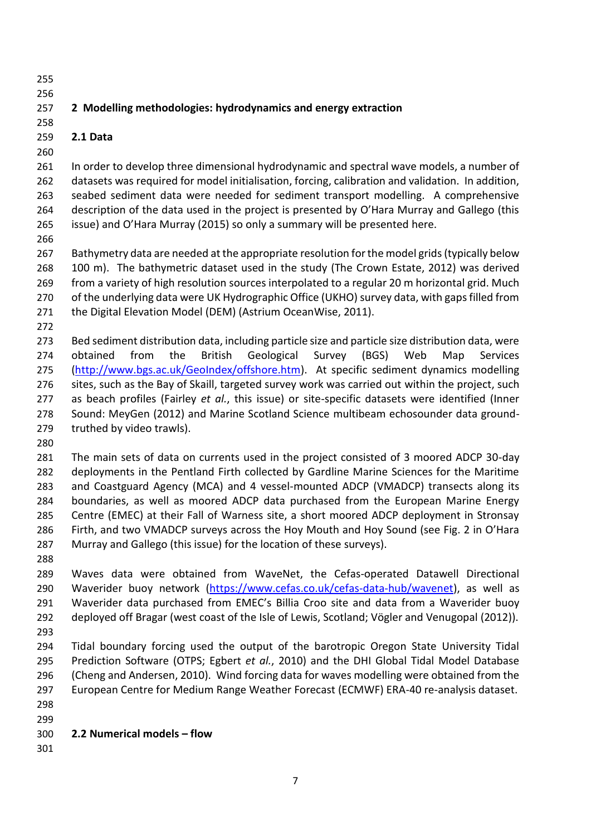## **2 Modelling methodologies: hydrodynamics and energy extraction**

#### **2.1 Data**

 In order to develop three dimensional hydrodynamic and spectral wave models, a number of datasets was required for model initialisation, forcing, calibration and validation. In addition, seabed sediment data were needed for sediment transport modelling. A comprehensive description of the data used in the project is presented by O'Hara Murray and Gallego (this issue) and O'Hara Murray (2015) so only a summary will be presented here.

 Bathymetry data are needed at the appropriate resolution for the model grids(typically below 100 m). The bathymetric dataset used in the study (The Crown Estate, 2012) was derived from a variety of high resolution sources interpolated to a regular 20 m horizontal grid. Much 270 of the underlying data were UK Hydrographic Office (UKHO) survey data, with gaps filled from 271 the Digital Elevation Model (DEM) (Astrium OceanWise, 2011).

 Bed sediment distribution data, including particle size and particle size distribution data, were obtained from the British Geological Survey (BGS) Web Map Services [\(http://www.bgs.ac.uk/GeoIndex/offshore.htm\)](http://www.bgs.ac.uk/GeoIndex/offshore.htm). At specific sediment dynamics modelling 276 sites, such as the Bay of Skaill, targeted survey work was carried out within the project, such as beach profiles (Fairley *et al.*, this issue) or site-specific datasets were identified (Inner Sound: MeyGen (2012) and Marine Scotland Science multibeam echosounder data ground-truthed by video trawls).

 The main sets of data on currents used in the project consisted of 3 moored ADCP 30-day deployments in the Pentland Firth collected by Gardline Marine Sciences for the Maritime and Coastguard Agency (MCA) and 4 vessel-mounted ADCP (VMADCP) transects along its boundaries, as well as moored ADCP data purchased from the European Marine Energy Centre (EMEC) at their Fall of Warness site, a short moored ADCP deployment in Stronsay Firth, and two VMADCP surveys across the Hoy Mouth and Hoy Sound (see Fig. 2 in O'Hara Murray and Gallego (this issue) for the location of these surveys).

 Waves data were obtained from WaveNet, the Cefas-operated Datawell Directional 290 Waverider buoy network [\(https://www.cefas.co.uk/cefas-data-hub/wavenet\)](https://www.cefas.co.uk/cefas-data-hub/wavenet), as well as Waverider data purchased from EMEC's Billia Croo site and data from a Waverider buoy deployed off Bragar (west coast of the Isle of Lewis, Scotland; Vögler and Venugopal (2012)). 

 Tidal boundary forcing used the output of the barotropic Oregon State University Tidal Prediction Software (OTPS; Egbert *et al.*, 2010) and the DHI Global Tidal Model Database (Cheng and Andersen, 2010). Wind forcing data for waves modelling were obtained from the European Centre for Medium Range Weather Forecast (ECMWF) ERA-40 re-analysis dataset. 

## **2.2 Numerical models – flow**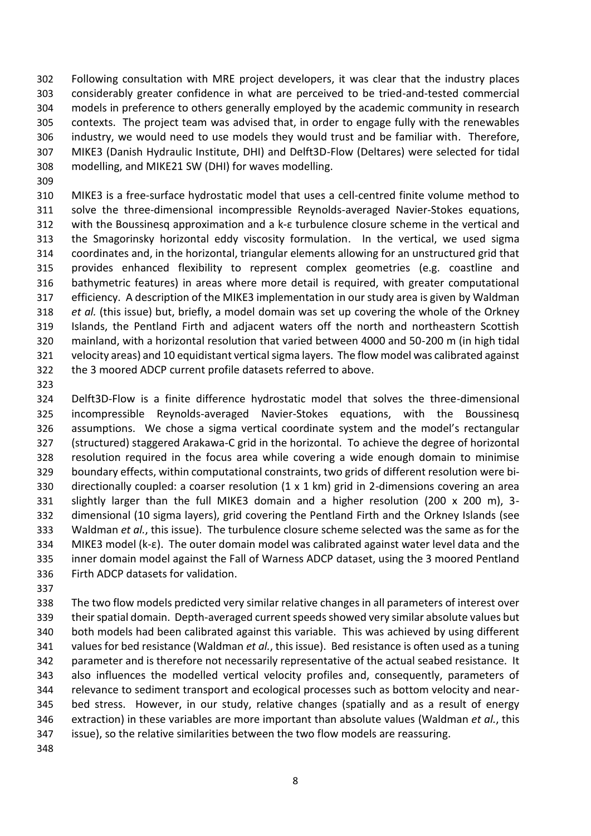Following consultation with MRE project developers, it was clear that the industry places considerably greater confidence in what are perceived to be tried-and-tested commercial models in preference to others generally employed by the academic community in research contexts. The project team was advised that, in order to engage fully with the renewables industry, we would need to use models they would trust and be familiar with. Therefore, MIKE3 (Danish Hydraulic Institute, DHI) and Delft3D-Flow (Deltares) were selected for tidal modelling, and MIKE21 SW (DHI) for waves modelling.

 MIKE3 is a free-surface hydrostatic model that uses a cell-centred finite volume method to solve the three-dimensional incompressible Reynolds-averaged Navier-Stokes equations, with the Boussinesq approximation and a k-ε turbulence closure scheme in the vertical and the Smagorinsky horizontal eddy viscosity formulation. In the vertical, we used sigma coordinates and, in the horizontal, triangular elements allowing for an unstructured grid that provides enhanced flexibility to represent complex geometries (e.g. coastline and bathymetric features) in areas where more detail is required, with greater computational efficiency. A description of the MIKE3 implementation in our study area is given by Waldman *et al.* (this issue) but, briefly, a model domain was set up covering the whole of the Orkney Islands, the Pentland Firth and adjacent waters off the north and northeastern Scottish mainland, with a horizontal resolution that varied between 4000 and 50-200 m (in high tidal velocity areas) and 10 equidistant vertical sigma layers. The flow model was calibrated against the 3 moored ADCP current profile datasets referred to above.

 Delft3D-Flow is a finite difference hydrostatic model that solves the three-dimensional incompressible Reynolds-averaged Navier-Stokes equations, with the Boussinesq assumptions. We chose a sigma vertical coordinate system and the model's rectangular (structured) staggered Arakawa-C grid in the horizontal. To achieve the degree of horizontal resolution required in the focus area while covering a wide enough domain to minimise boundary effects, within computational constraints, two grids of different resolution were bi-330 directionally coupled: a coarser resolution  $(1 \times 1 \text{ km})$  grid in 2-dimensions covering an area slightly larger than the full MIKE3 domain and a higher resolution (200 x 200 m), 3- dimensional (10 sigma layers), grid covering the Pentland Firth and the Orkney Islands (see Waldman *et al.*, this issue). The turbulence closure scheme selected was the same as for the MIKE3 model (k-ε). The outer domain model was calibrated against water level data and the inner domain model against the Fall of Warness ADCP dataset, using the 3 moored Pentland Firth ADCP datasets for validation.

 The two flow models predicted very similar relative changes in all parameters of interest over their spatial domain. Depth-averaged current speeds showed very similar absolute values but both models had been calibrated against this variable. This was achieved by using different values for bed resistance (Waldman *et al.*, this issue). Bed resistance is often used as a tuning parameter and is therefore not necessarily representative of the actual seabed resistance. It also influences the modelled vertical velocity profiles and, consequently, parameters of relevance to sediment transport and ecological processes such as bottom velocity and near- bed stress. However, in our study, relative changes (spatially and as a result of energy extraction) in these variables are more important than absolute values (Waldman *et al.*, this issue), so the relative similarities between the two flow models are reassuring.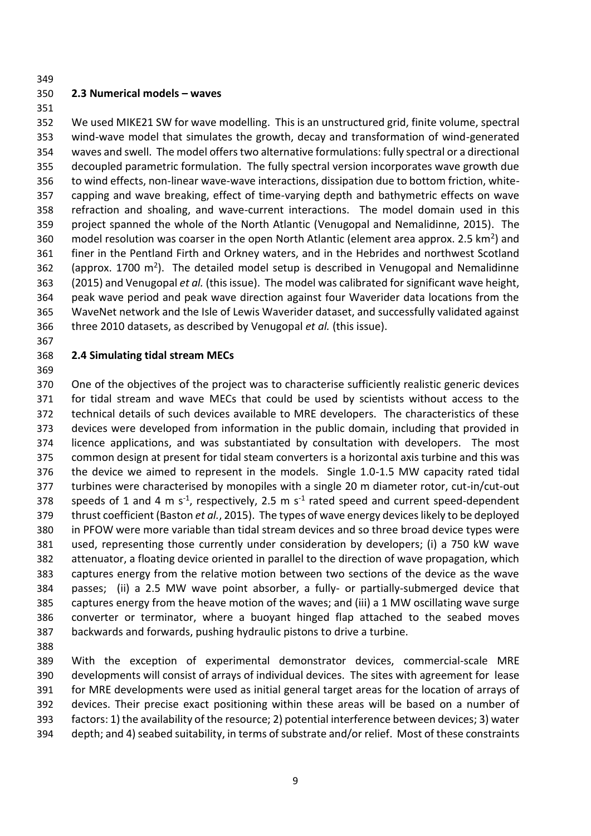#### **2.3 Numerical models – waves**

#### 

 We used MIKE21 SW for wave modelling. This is an unstructured grid, finite volume, spectral wind-wave model that simulates the growth, decay and transformation of wind-generated waves and swell. The model offers two alternative formulations: fully spectral or a directional decoupled parametric formulation. The fully spectral version incorporates wave growth due to wind effects, non-linear wave-wave interactions, dissipation due to bottom friction, white- capping and wave breaking, effect of time-varying depth and bathymetric effects on wave refraction and shoaling, and wave-current interactions. The model domain used in this project spanned the whole of the North Atlantic (Venugopal and Nemalidinne, 2015). The 360 model resolution was coarser in the open North Atlantic (element area approx. 2.5 km<sup>2</sup>) and finer in the Pentland Firth and Orkney waters, and in the Hebrides and northwest Scotland 362 (approx. 1700  $m^2$ ). The detailed model setup is described in Venugopal and Nemalidinne (2015) and Venugopal *et al.* (this issue). The model was calibrated for significant wave height, peak wave period and peak wave direction against four Waverider data locations from the WaveNet network and the Isle of Lewis Waverider dataset, and successfully validated against three 2010 datasets, as described by Venugopal *et al.* (this issue).

### **2.4 Simulating tidal stream MECs**

 One of the objectives of the project was to characterise sufficiently realistic generic devices for tidal stream and wave MECs that could be used by scientists without access to the technical details of such devices available to MRE developers. The characteristics of these devices were developed from information in the public domain, including that provided in licence applications, and was substantiated by consultation with developers. The most common design at present for tidal steam converters is a horizontal axis turbine and this was the device we aimed to represent in the models. Single 1.0-1.5 MW capacity rated tidal turbines were characterised by monopiles with a single 20 m diameter rotor, cut-in/cut-out 378 speeds of 1 and 4 m s<sup>-1</sup>, respectively, 2.5 m s<sup>-1</sup> rated speed and current speed-dependent thrust coefficient (Baston *et al.*, 2015). The types of wave energy devices likely to be deployed in PFOW were more variable than tidal stream devices and so three broad device types were used, representing those currently under consideration by developers; (i) a 750 kW wave attenuator, a floating device oriented in parallel to the direction of wave propagation, which captures energy from the relative motion between two sections of the device as the wave passes; (ii) a 2.5 MW wave point absorber, a fully- or partially-submerged device that captures energy from the heave motion of the waves; and (iii) a 1 MW oscillating wave surge converter or terminator, where a buoyant hinged flap attached to the seabed moves backwards and forwards, pushing hydraulic pistons to drive a turbine.

 With the exception of experimental demonstrator devices, commercial-scale MRE developments will consist of arrays of individual devices. The sites with agreement for lease for MRE developments were used as initial general target areas for the location of arrays of devices. Their precise exact positioning within these areas will be based on a number of factors: 1) the availability of the resource; 2) potential interference between devices; 3) water depth; and 4) seabed suitability, in terms of substrate and/or relief. Most of these constraints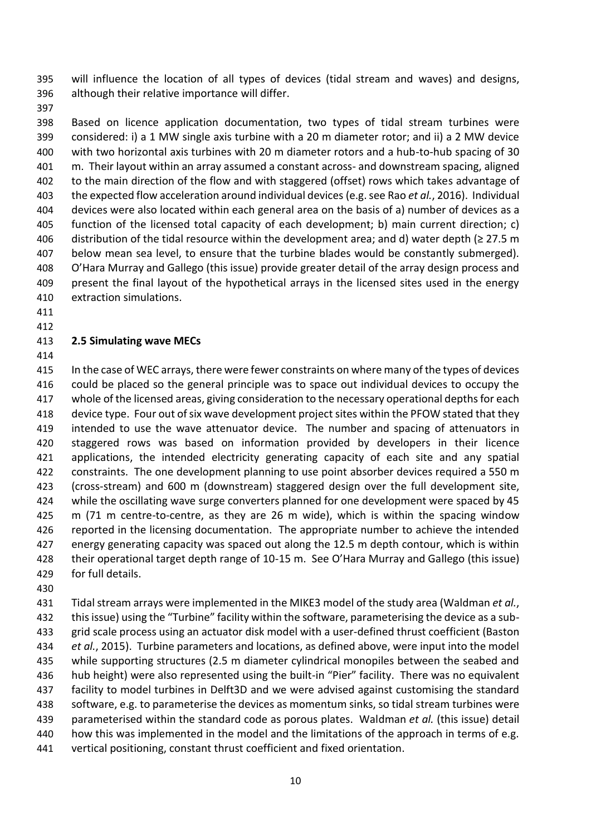will influence the location of all types of devices (tidal stream and waves) and designs, although their relative importance will differ.

 Based on licence application documentation, two types of tidal stream turbines were considered: i) a 1 MW single axis turbine with a 20 m diameter rotor; and ii) a 2 MW device with two horizontal axis turbines with 20 m diameter rotors and a hub-to-hub spacing of 30 m. Their layout within an array assumed a constant across- and downstream spacing, aligned to the main direction of the flow and with staggered (offset) rows which takes advantage of the expected flow acceleration around individual devices (e.g. see Rao *et al.*, 2016). Individual devices were also located within each general area on the basis of a) number of devices as a function of the licensed total capacity of each development; b) main current direction; c) 406 distribution of the tidal resource within the development area; and d) water depth ( $\geq$  27.5 m below mean sea level, to ensure that the turbine blades would be constantly submerged). O'Hara Murray and Gallego (this issue) provide greater detail of the array design process and present the final layout of the hypothetical arrays in the licensed sites used in the energy extraction simulations.

- 
- 

### **2.5 Simulating wave MECs**

 In the case of WEC arrays, there were fewer constraints on where many of the types of devices could be placed so the general principle was to space out individual devices to occupy the whole of the licensed areas, giving consideration to the necessary operational depths for each device type. Four out of six wave development project sites within the PFOW stated that they intended to use the wave attenuator device. The number and spacing of attenuators in staggered rows was based on information provided by developers in their licence applications, the intended electricity generating capacity of each site and any spatial 422 constraints. The one development planning to use point absorber devices required a 550 m (cross-stream) and 600 m (downstream) staggered design over the full development site, while the oscillating wave surge converters planned for one development were spaced by 45 m (71 m centre-to-centre, as they are 26 m wide), which is within the spacing window reported in the licensing documentation. The appropriate number to achieve the intended 427 energy generating capacity was spaced out along the 12.5 m depth contour, which is within their operational target depth range of 10-15 m. See O'Hara Murray and Gallego (this issue) for full details.

 Tidal stream arrays were implemented in the MIKE3 model of the study area (Waldman *et al.*, this issue) using the "Turbine" facility within the software, parameterising the device as a sub- grid scale process using an actuator disk model with a user-defined thrust coefficient (Baston *et al.*, 2015). Turbine parameters and locations, as defined above, were input into the model while supporting structures (2.5 m diameter cylindrical monopiles between the seabed and hub height) were also represented using the built-in "Pier" facility. There was no equivalent facility to model turbines in Delft3D and we were advised against customising the standard software, e.g. to parameterise the devices as momentum sinks, so tidal stream turbines were parameterised within the standard code as porous plates. Waldman *et al.* (this issue) detail 440 how this was implemented in the model and the limitations of the approach in terms of e.g. vertical positioning, constant thrust coefficient and fixed orientation.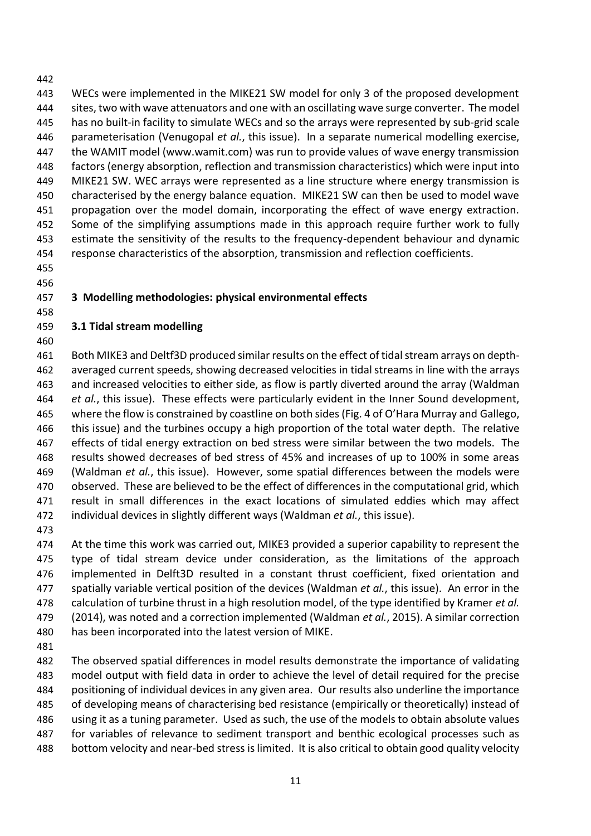WECs were implemented in the MIKE21 SW model for only 3 of the proposed development sites, two with wave attenuators and one with an oscillating wave surge converter. The model has no built-in facility to simulate WECs and so the arrays were represented by sub-grid scale parameterisation (Venugopal *et al.*, this issue). In a separate numerical modelling exercise, 447 the WAMIT model (www.wamit.com) was run to provide values of wave energy transmission factors (energy absorption, reflection and transmission characteristics) which were input into MIKE21 SW. WEC arrays were represented as a line structure where energy transmission is characterised by the energy balance equation. MIKE21 SW can then be used to model wave propagation over the model domain, incorporating the effect of wave energy extraction. Some of the simplifying assumptions made in this approach require further work to fully estimate the sensitivity of the results to the frequency-dependent behaviour and dynamic response characteristics of the absorption, transmission and reflection coefficients. 

## **3 Modelling methodologies: physical environmental effects**

## **3.1 Tidal stream modelling**

 Both MIKE3 and Deltf3D produced similar results on the effect of tidal stream arrays on depth- averaged current speeds, showing decreased velocities in tidal streams in line with the arrays and increased velocities to either side, as flow is partly diverted around the array (Waldman *et al.*, this issue). These effects were particularly evident in the Inner Sound development, where the flow is constrained by coastline on both sides (Fig. 4 of O'Hara Murray and Gallego, this issue) and the turbines occupy a high proportion of the total water depth. The relative effects of tidal energy extraction on bed stress were similar between the two models. The results showed decreases of bed stress of 45% and increases of up to 100% in some areas (Waldman *et al.*, this issue). However, some spatial differences between the models were observed. These are believed to be the effect of differences in the computational grid, which result in small differences in the exact locations of simulated eddies which may affect individual devices in slightly different ways (Waldman *et al.*, this issue).

 At the time this work was carried out, MIKE3 provided a superior capability to represent the type of tidal stream device under consideration, as the limitations of the approach implemented in Delft3D resulted in a constant thrust coefficient, fixed orientation and spatially variable vertical position of the devices (Waldman *et al.*, this issue). An error in the calculation of turbine thrust in a high resolution model, of the type identified by Kramer *et al.* (2014), was noted and a correction implemented (Waldman *et al.*, 2015). A similar correction has been incorporated into the latest version of MIKE.

 The observed spatial differences in model results demonstrate the importance of validating model output with field data in order to achieve the level of detail required for the precise positioning of individual devices in any given area. Our results also underline the importance of developing means of characterising bed resistance (empirically or theoretically) instead of using it as a tuning parameter. Used as such, the use of the models to obtain absolute values for variables of relevance to sediment transport and benthic ecological processes such as bottom velocity and near-bed stress is limited. It is also critical to obtain good quality velocity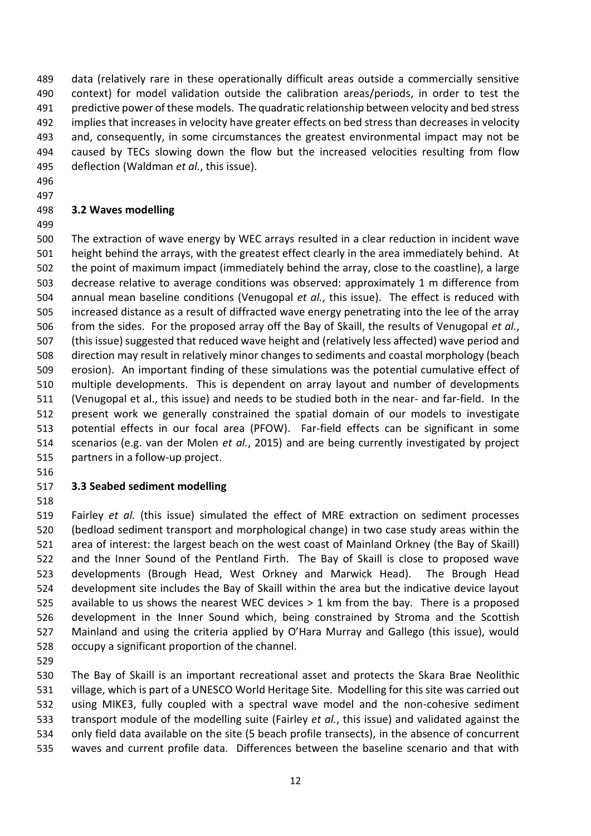data (relatively rare in these operationally difficult areas outside a commercially sensitive context) for model validation outside the calibration areas/periods, in order to test the predictive power of these models. The quadratic relationship between velocity and bed stress implies that increases in velocity have greater effects on bed stress than decreases in velocity and, consequently, in some circumstances the greatest environmental impact may not be caused by TECs slowing down the flow but the increased velocities resulting from flow deflection (Waldman *et al.*, this issue).

 

### **3.2 Waves modelling**

 The extraction of wave energy by WEC arrays resulted in a clear reduction in incident wave height behind the arrays, with the greatest effect clearly in the area immediately behind. At the point of maximum impact (immediately behind the array, close to the coastline), a large decrease relative to average conditions was observed: approximately 1 m difference from annual mean baseline conditions (Venugopal *et al.*, this issue). The effect is reduced with increased distance as a result of diffracted wave energy penetrating into the lee of the array from the sides. For the proposed array off the Bay of Skaill, the results of Venugopal *et al.*, (this issue) suggested that reduced wave height and (relatively less affected) wave period and direction may result in relatively minor changes to sediments and coastal morphology (beach erosion). An important finding of these simulations was the potential cumulative effect of multiple developments. This is dependent on array layout and number of developments (Venugopal et al., this issue) and needs to be studied both in the near- and far-field. In the present work we generally constrained the spatial domain of our models to investigate potential effects in our focal area (PFOW). Far-field effects can be significant in some scenarios (e.g. van der Molen *et al.*, 2015) and are being currently investigated by project partners in a follow-up project.

## **3.3 Seabed sediment modelling**

 Fairley *et al.* (this issue) simulated the effect of MRE extraction on sediment processes (bedload sediment transport and morphological change) in two case study areas within the area of interest: the largest beach on the west coast of Mainland Orkney (the Bay of Skaill) and the Inner Sound of the Pentland Firth. The Bay of Skaill is close to proposed wave developments (Brough Head, West Orkney and Marwick Head). The Brough Head development site includes the Bay of Skaill within the area but the indicative device layout available to us shows the nearest WEC devices > 1 km from the bay. There is a proposed development in the Inner Sound which, being constrained by Stroma and the Scottish Mainland and using the criteria applied by O'Hara Murray and Gallego (this issue), would occupy a significant proportion of the channel.

 The Bay of Skaill is an important recreational asset and protects the Skara Brae Neolithic village, which is part of a UNESCO World Heritage Site. Modelling for this site was carried out using MIKE3, fully coupled with a spectral wave model and the non-cohesive sediment transport module of the modelling suite (Fairley *et al.*, this issue) and validated against the only field data available on the site (5 beach profile transects), in the absence of concurrent waves and current profile data. Differences between the baseline scenario and that with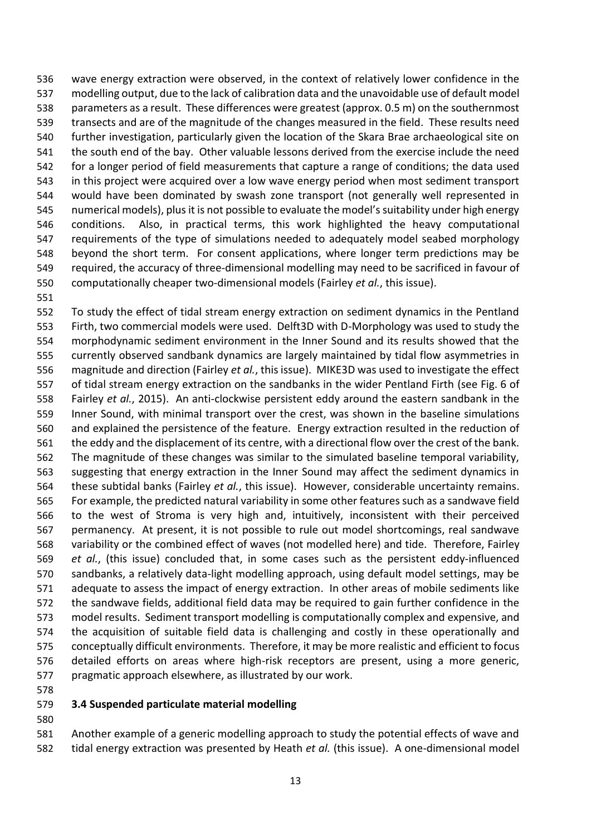wave energy extraction were observed, in the context of relatively lower confidence in the modelling output, due to the lack of calibration data and the unavoidable use of default model parameters as a result. These differences were greatest (approx. 0.5 m) on the southernmost transects and are of the magnitude of the changes measured in the field. These results need further investigation, particularly given the location of the Skara Brae archaeological site on the south end of the bay. Other valuable lessons derived from the exercise include the need for a longer period of field measurements that capture a range of conditions; the data used in this project were acquired over a low wave energy period when most sediment transport would have been dominated by swash zone transport (not generally well represented in numerical models), plus it is not possible to evaluate the model's suitability under high energy conditions. Also, in practical terms, this work highlighted the heavy computational requirements of the type of simulations needed to adequately model seabed morphology beyond the short term. For consent applications, where longer term predictions may be required, the accuracy of three-dimensional modelling may need to be sacrificed in favour of computationally cheaper two-dimensional models (Fairley *et al.*, this issue).

 To study the effect of tidal stream energy extraction on sediment dynamics in the Pentland Firth, two commercial models were used. Delft3D with D-Morphology was used to study the morphodynamic sediment environment in the Inner Sound and its results showed that the currently observed sandbank dynamics are largely maintained by tidal flow asymmetries in magnitude and direction (Fairley *et al.*, this issue). MIKE3D was used to investigate the effect of tidal stream energy extraction on the sandbanks in the wider Pentland Firth (see Fig. 6 of Fairley *et al.*, 2015). An anti-clockwise persistent eddy around the eastern sandbank in the Inner Sound, with minimal transport over the crest, was shown in the baseline simulations and explained the persistence of the feature. Energy extraction resulted in the reduction of the eddy and the displacement of its centre, with a directional flow over the crest of the bank. The magnitude of these changes was similar to the simulated baseline temporal variability, suggesting that energy extraction in the Inner Sound may affect the sediment dynamics in these subtidal banks (Fairley *et al.*, this issue). However, considerable uncertainty remains. For example, the predicted natural variability in some other features such as a sandwave field to the west of Stroma is very high and, intuitively, inconsistent with their perceived permanency. At present, it is not possible to rule out model shortcomings, real sandwave variability or the combined effect of waves (not modelled here) and tide. Therefore, Fairley *et al.*, (this issue) concluded that, in some cases such as the persistent eddy-influenced sandbanks, a relatively data-light modelling approach, using default model settings, may be adequate to assess the impact of energy extraction. In other areas of mobile sediments like the sandwave fields, additional field data may be required to gain further confidence in the model results. Sediment transport modelling is computationally complex and expensive, and the acquisition of suitable field data is challenging and costly in these operationally and conceptually difficult environments. Therefore, it may be more realistic and efficient to focus detailed efforts on areas where high-risk receptors are present, using a more generic, pragmatic approach elsewhere, as illustrated by our work.

#### **3.4 Suspended particulate material modelling**

 Another example of a generic modelling approach to study the potential effects of wave and tidal energy extraction was presented by Heath *et al.* (this issue). A one-dimensional model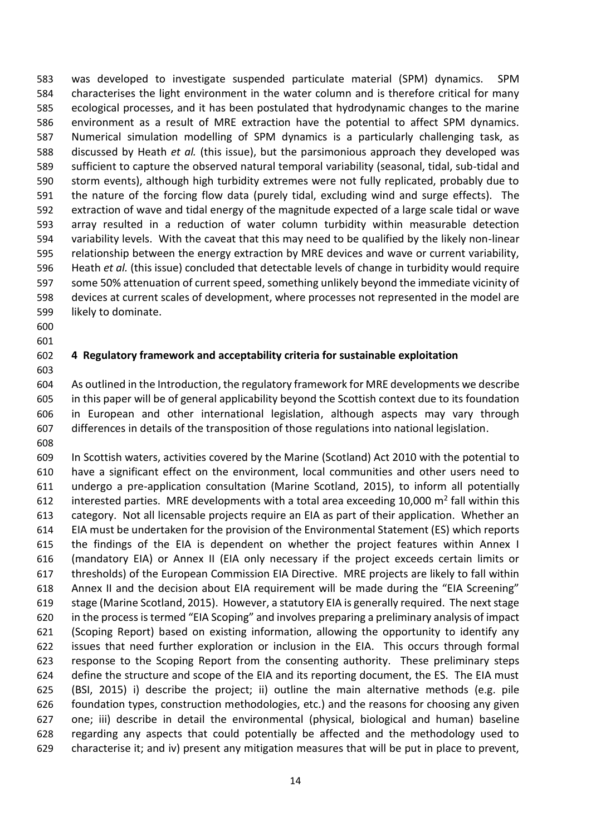was developed to investigate suspended particulate material (SPM) dynamics. SPM characterises the light environment in the water column and is therefore critical for many ecological processes, and it has been postulated that hydrodynamic changes to the marine environment as a result of MRE extraction have the potential to affect SPM dynamics. Numerical simulation modelling of SPM dynamics is a particularly challenging task, as discussed by Heath *et al.* (this issue), but the parsimonious approach they developed was sufficient to capture the observed natural temporal variability (seasonal, tidal, sub-tidal and storm events), although high turbidity extremes were not fully replicated, probably due to the nature of the forcing flow data (purely tidal, excluding wind and surge effects). The extraction of wave and tidal energy of the magnitude expected of a large scale tidal or wave array resulted in a reduction of water column turbidity within measurable detection variability levels. With the caveat that this may need to be qualified by the likely non-linear relationship between the energy extraction by MRE devices and wave or current variability, Heath *et al.* (this issue) concluded that detectable levels of change in turbidity would require some 50% attenuation of current speed, something unlikely beyond the immediate vicinity of devices at current scales of development, where processes not represented in the model are likely to dominate.

 

## **4 Regulatory framework and acceptability criteria for sustainable exploitation**

 As outlined in the Introduction, the regulatory framework for MRE developments we describe in this paper will be of general applicability beyond the Scottish context due to its foundation in European and other international legislation, although aspects may vary through differences in details of the transposition of those regulations into national legislation. 

 In Scottish waters, activities covered by the Marine (Scotland) Act 2010 with the potential to have a significant effect on the environment, local communities and other users need to undergo a pre-application consultation (Marine Scotland, 2015), to inform all potentially 612 interested parties. MRE developments with a total area exceeding 10,000  $m^2$  fall within this category. Not all licensable projects require an EIA as part of their application. Whether an EIA must be undertaken for the provision of the Environmental Statement (ES) which reports the findings of the EIA is dependent on whether the project features within Annex I (mandatory EIA) or Annex II (EIA only necessary if the project exceeds certain limits or thresholds) of the European Commission EIA Directive. MRE projects are likely to fall within Annex II and the decision about EIA requirement will be made during the "EIA Screening" stage (Marine Scotland, 2015). However, a statutory EIA is generally required. The next stage in the process is termed "EIA Scoping" and involves preparing a preliminary analysis of impact (Scoping Report) based on existing information, allowing the opportunity to identify any issues that need further exploration or inclusion in the EIA. This occurs through formal response to the Scoping Report from the consenting authority. These preliminary steps define the structure and scope of the EIA and its reporting document, the ES. The EIA must (BSI, 2015) i) describe the project; ii) outline the main alternative methods (e.g. pile foundation types, construction methodologies, etc.) and the reasons for choosing any given one; iii) describe in detail the environmental (physical, biological and human) baseline regarding any aspects that could potentially be affected and the methodology used to characterise it; and iv) present any mitigation measures that will be put in place to prevent,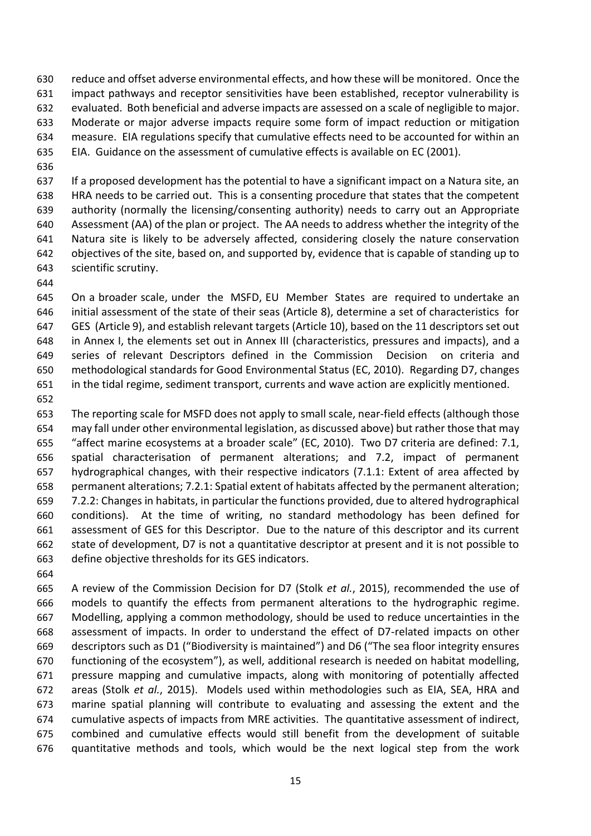- reduce and offset adverse environmental effects, and how these will be monitored. Once the impact pathways and receptor sensitivities have been established, receptor vulnerability is evaluated. Both beneficial and adverse impacts are assessed on a scale of negligible to major. Moderate or major adverse impacts require some form of impact reduction or mitigation measure. EIA regulations specify that cumulative effects need to be accounted for within an EIA. Guidance on the assessment of cumulative effects is available on EC (2001).
- 

 If a proposed development has the potential to have a significant impact on a Natura site, an HRA needs to be carried out. This is a consenting procedure that states that the competent authority (normally the licensing/consenting authority) needs to carry out an Appropriate Assessment (AA) of the plan or project. The AA needs to address whether the integrity of the Natura site is likely to be adversely affected, considering closely the nature conservation objectives of the site, based on, and supported by, evidence that is capable of standing up to scientific scrutiny.

 On a broader scale, under the MSFD, EU Member States are required to undertake an initial assessment of the state of their seas (Article 8), determine a set of characteristics for GES (Article 9), and establish relevant targets (Article 10), based on the 11 descriptors set out in Annex I, the elements set out in Annex III (characteristics, pressures and impacts), and a series of relevant Descriptors defined in the Commission Decision on criteria and methodological standards for Good Environmental Status (EC, 2010). Regarding D7, changes in the tidal regime, sediment transport, currents and wave action are explicitly mentioned. 

 The reporting scale for MSFD does not apply to small scale, near-field effects (although those may fall under other environmental legislation, as discussed above) but rather those that may "affect marine ecosystems at a broader scale" (EC, 2010). Two D7 criteria are defined: 7.1, spatial characterisation of permanent alterations; and 7.2, impact of permanent hydrographical changes, with their respective indicators (7.1.1: Extent of area affected by permanent alterations; 7.2.1: Spatial extent of habitats affected by the permanent alteration; 7.2.2: Changes in habitats, in particular the functions provided, due to altered hydrographical conditions). At the time of writing, no standard methodology has been defined for assessment of GES for this Descriptor. Due to the nature of this descriptor and its current state of development, D7 is not a quantitative descriptor at present and it is not possible to define objective thresholds for its GES indicators.

 A review of the Commission Decision for D7 (Stolk *et al.*, 2015), recommended the use of models to quantify the effects from permanent alterations to the hydrographic regime. Modelling, applying a common methodology, should be used to reduce uncertainties in the assessment of impacts. In order to understand the effect of D7-related impacts on other descriptors such as D1 ("Biodiversity is maintained") and D6 ("The sea floor integrity ensures functioning of the ecosystem"), as well, additional research is needed on habitat modelling, pressure mapping and cumulative impacts, along with monitoring of potentially affected areas (Stolk *et al.*, 2015). Models used within methodologies such as EIA, SEA, HRA and marine spatial planning will contribute to evaluating and assessing the extent and the cumulative aspects of impacts from MRE activities. The quantitative assessment of indirect, combined and cumulative effects would still benefit from the development of suitable quantitative methods and tools, which would be the next logical step from the work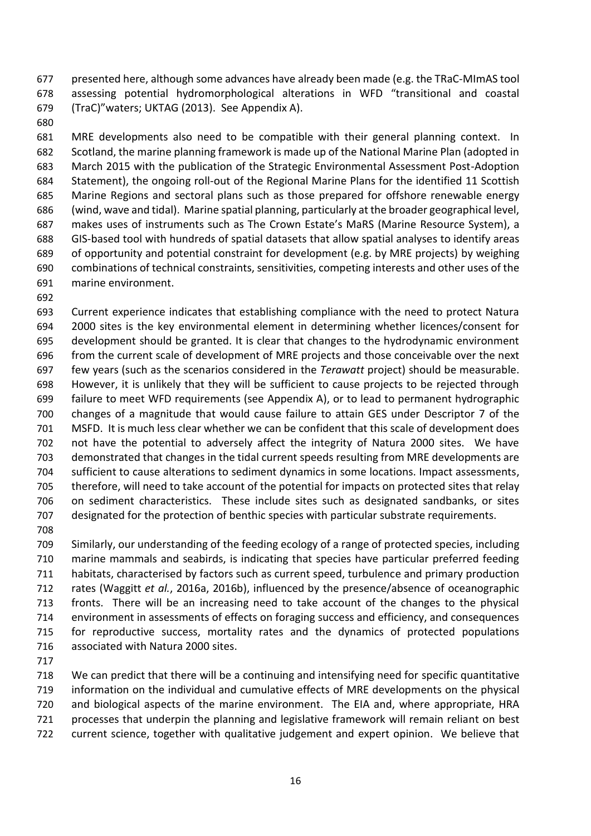presented here, although some advances have already been made (e.g. the TRaC-MImAS tool assessing potential hydromorphological alterations in WFD "transitional and coastal (TraC)"waters; UKTAG (2013). See Appendix A).

 MRE developments also need to be compatible with their general planning context. In Scotland, the marine planning framework is made up of the National Marine Plan (adopted in March 2015 with the publication of the Strategic Environmental Assessment Post-Adoption Statement), the ongoing roll-out of the Regional Marine Plans for the identified 11 Scottish Marine Regions and sectoral plans such as those prepared for offshore renewable energy (wind, wave and tidal). Marine spatial planning, particularly at the broader geographical level, makes uses of instruments such as The Crown Estate's MaRS (Marine Resource System), a GIS-based tool with hundreds of spatial datasets that allow spatial analyses to identify areas of opportunity and potential constraint for development (e.g. by MRE projects) by weighing combinations of technical constraints, sensitivities, competing interests and other uses of the marine environment.

 Current experience indicates that establishing compliance with the need to protect Natura 2000 sites is the key environmental element in determining whether licences/consent for development should be granted. It is clear that changes to the hydrodynamic environment from the current scale of development of MRE projects and those conceivable over the next few years (such as the scenarios considered in the *Terawatt* project) should be measurable. However, it is unlikely that they will be sufficient to cause projects to be rejected through failure to meet WFD requirements (see Appendix A), or to lead to permanent hydrographic changes of a magnitude that would cause failure to attain GES under Descriptor 7 of the MSFD. It is much less clear whether we can be confident that this scale of development does not have the potential to adversely affect the integrity of Natura 2000 sites. We have demonstrated that changes in the tidal current speeds resulting from MRE developments are sufficient to cause alterations to sediment dynamics in some locations. Impact assessments, therefore, will need to take account of the potential for impacts on protected sites that relay on sediment characteristics. These include sites such as designated sandbanks, or sites designated for the protection of benthic species with particular substrate requirements.

 Similarly, our understanding of the feeding ecology of a range of protected species, including marine mammals and seabirds, is indicating that species have particular preferred feeding habitats, characterised by factors such as current speed, turbulence and primary production rates (Waggitt *et al.*, 2016a, 2016b), influenced by the presence/absence of oceanographic fronts. There will be an increasing need to take account of the changes to the physical environment in assessments of effects on foraging success and efficiency, and consequences for reproductive success, mortality rates and the dynamics of protected populations associated with Natura 2000 sites.

 We can predict that there will be a continuing and intensifying need for specific quantitative information on the individual and cumulative effects of MRE developments on the physical and biological aspects of the marine environment. The EIA and, where appropriate, HRA processes that underpin the planning and legislative framework will remain reliant on best current science, together with qualitative judgement and expert opinion. We believe that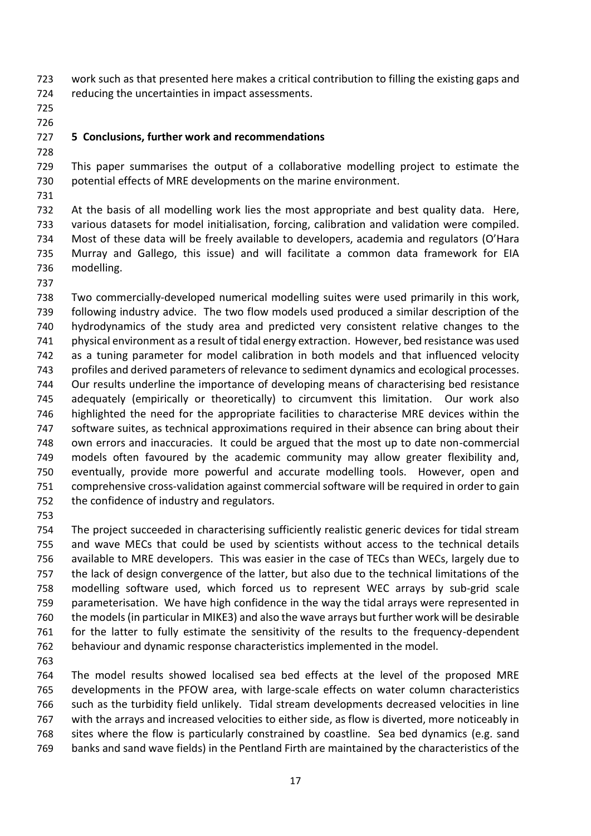- work such as that presented here makes a critical contribution to filling the existing gaps and reducing the uncertainties in impact assessments.
- 

## **5 Conclusions, further work and recommendations**

 This paper summarises the output of a collaborative modelling project to estimate the potential effects of MRE developments on the marine environment.

 At the basis of all modelling work lies the most appropriate and best quality data. Here, various datasets for model initialisation, forcing, calibration and validation were compiled. Most of these data will be freely available to developers, academia and regulators (O'Hara Murray and Gallego, this issue) and will facilitate a common data framework for EIA modelling.

 Two commercially-developed numerical modelling suites were used primarily in this work, following industry advice. The two flow models used produced a similar description of the hydrodynamics of the study area and predicted very consistent relative changes to the physical environment as a result of tidal energy extraction. However, bed resistance was used as a tuning parameter for model calibration in both models and that influenced velocity profiles and derived parameters of relevance to sediment dynamics and ecological processes. Our results underline the importance of developing means of characterising bed resistance adequately (empirically or theoretically) to circumvent this limitation. Our work also highlighted the need for the appropriate facilities to characterise MRE devices within the software suites, as technical approximations required in their absence can bring about their own errors and inaccuracies. It could be argued that the most up to date non-commercial models often favoured by the academic community may allow greater flexibility and, eventually, provide more powerful and accurate modelling tools. However, open and comprehensive cross-validation against commercial software will be required in order to gain the confidence of industry and regulators.

 The project succeeded in characterising sufficiently realistic generic devices for tidal stream and wave MECs that could be used by scientists without access to the technical details available to MRE developers. This was easier in the case of TECs than WECs, largely due to the lack of design convergence of the latter, but also due to the technical limitations of the modelling software used, which forced us to represent WEC arrays by sub-grid scale parameterisation. We have high confidence in the way the tidal arrays were represented in the models (in particular in MIKE3) and also the wave arrays but further work will be desirable for the latter to fully estimate the sensitivity of the results to the frequency-dependent behaviour and dynamic response characteristics implemented in the model.

 The model results showed localised sea bed effects at the level of the proposed MRE developments in the PFOW area, with large-scale effects on water column characteristics such as the turbidity field unlikely. Tidal stream developments decreased velocities in line with the arrays and increased velocities to either side, as flow is diverted, more noticeably in sites where the flow is particularly constrained by coastline. Sea bed dynamics (e.g. sand banks and sand wave fields) in the Pentland Firth are maintained by the characteristics of the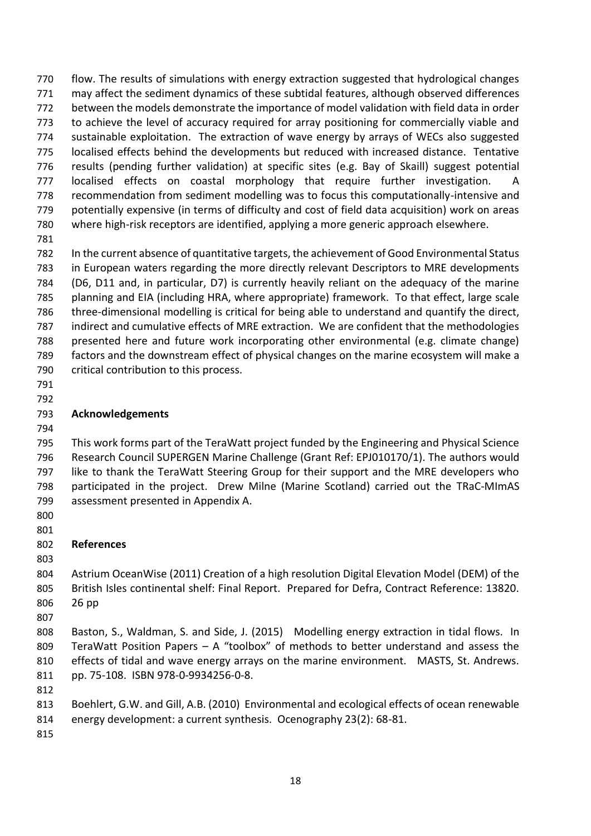flow. The results of simulations with energy extraction suggested that hydrological changes may affect the sediment dynamics of these subtidal features, although observed differences between the models demonstrate the importance of model validation with field data in order to achieve the level of accuracy required for array positioning for commercially viable and sustainable exploitation. The extraction of wave energy by arrays of WECs also suggested localised effects behind the developments but reduced with increased distance. Tentative results (pending further validation) at specific sites (e.g. Bay of Skaill) suggest potential 777 localised effects on coastal morphology that require further investigation. A recommendation from sediment modelling was to focus this computationally-intensive and potentially expensive (in terms of difficulty and cost of field data acquisition) work on areas where high-risk receptors are identified, applying a more generic approach elsewhere.

 In the current absence of quantitative targets, the achievement of Good Environmental Status in European waters regarding the more directly relevant Descriptors to MRE developments (D6, D11 and, in particular, D7) is currently heavily reliant on the adequacy of the marine planning and EIA (including HRA, where appropriate) framework. To that effect, large scale three-dimensional modelling is critical for being able to understand and quantify the direct, indirect and cumulative effects of MRE extraction. We are confident that the methodologies presented here and future work incorporating other environmental (e.g. climate change) factors and the downstream effect of physical changes on the marine ecosystem will make a critical contribution to this process.

 

#### **Acknowledgements**

 This work forms part of the TeraWatt project funded by the Engineering and Physical Science Research Council SUPERGEN Marine Challenge (Grant Ref: EPJ010170/1). The authors would like to thank the TeraWatt Steering Group for their support and the MRE developers who participated in the project. Drew Milne (Marine Scotland) carried out the TRaC-MImAS assessment presented in Appendix A.

## **References**

 Astrium OceanWise (2011) Creation of a high resolution Digital Elevation Model (DEM) of the British Isles continental shelf: Final Report. Prepared for Defra, Contract Reference: 13820. 26 pp

 Baston, S., Waldman, S. and Side, J. (2015) Modelling energy extraction in tidal flows. In TeraWatt Position Papers – A "toolbox" of methods to better understand and assess the effects of tidal and wave energy arrays on the marine environment. MASTS, St. Andrews. pp. 75-108. ISBN 978-0-9934256-0-8.

- 
- Boehlert, G.W. and Gill, A.B. (2010) Environmental and ecological effects of ocean renewable
- energy development: a current synthesis. Ocenography 23(2): 68-81.
-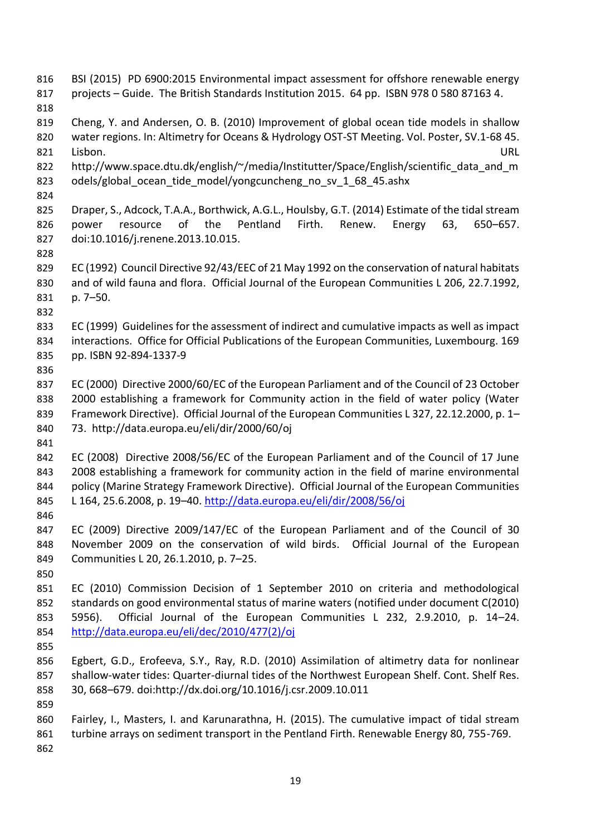BSI (2015) PD 6900:2015 Environmental impact assessment for offshore renewable energy projects – Guide. The British Standards Institution 2015. 64 pp. ISBN 978 0 580 87163 4. Cheng, Y. and Andersen, O. B. (2010) Improvement of global ocean tide models in shallow water regions. In: Altimetry for Oceans & Hydrology OST-ST Meeting. Vol. Poster, SV.1-68 45. Lisbon. URL 822 http://www.space.dtu.dk/english/~/media/Institutter/Space/English/scientific\_data\_and\_m 823 odels/global\_ocean\_tide\_model/yongcuncheng\_no\_sv\_1\_68\_45.ashx Draper, S., Adcock, T.A.A., Borthwick, A.G.L., Houlsby, G.T. (2014) Estimate of the tidal stream power resource of the Pentland Firth. Renew. Energy 63, 650–657. doi:10.1016/j.renene.2013.10.015. EC (1992) Council Directive 92/43/EEC of 21 May 1992 on the conservation of natural habitats and of wild fauna and flora. Official Journal of the European Communities L 206, 22.7.1992, p. 7–50. EC (1999) Guidelines for the assessment of indirect and cumulative impacts as well as impact interactions. Office for Official Publications of the European Communities, Luxembourg. 169 pp. ISBN 92-894-1337-9 EC (2000) Directive 2000/60/EC of the European Parliament and of the Council of 23 October 2000 establishing a framework for Community action in the field of water policy (Water Framework Directive). Official Journal of the European Communities L 327, 22.12.2000, p. 1– 73. http://data.europa.eu/eli/dir/2000/60/oj EC (2008) Directive 2008/56/EC of the European Parliament and of the Council of 17 June 2008 establishing a framework for community action in the field of marine environmental policy (Marine Strategy Framework Directive). Official Journal of the European Communities L 164, 25.6.2008, p. 19–40.<http://data.europa.eu/eli/dir/2008/56/oj> EC (2009) Directive 2009/147/EC of the European Parliament and of the Council of 30 November 2009 on the conservation of wild birds. Official Journal of the European Communities L 20, 26.1.2010, p. 7–25. EC (2010) Commission Decision of 1 September 2010 on criteria and methodological standards on good environmental status of marine waters (notified under document C(2010) 5956). Official Journal of the European Communities L 232, 2.9.2010, p. 14–24. [http://data.europa.eu/eli/dec/2010/477\(2\)/oj](http://data.europa.eu/eli/dec/2010/477(2)/oj) Egbert, G.D., Erofeeva, S.Y., Ray, R.D. (2010) Assimilation of altimetry data for nonlinear shallow-water tides: Quarter-diurnal tides of the Northwest European Shelf. Cont. Shelf Res. 30, 668–679. doi:http://dx.doi.org/10.1016/j.csr.2009.10.011 Fairley, I., Masters, I. and Karunarathna, H. (2015). The cumulative impact of tidal stream 861 turbine arrays on sediment transport in the Pentland Firth. Renewable Energy 80, 755-769.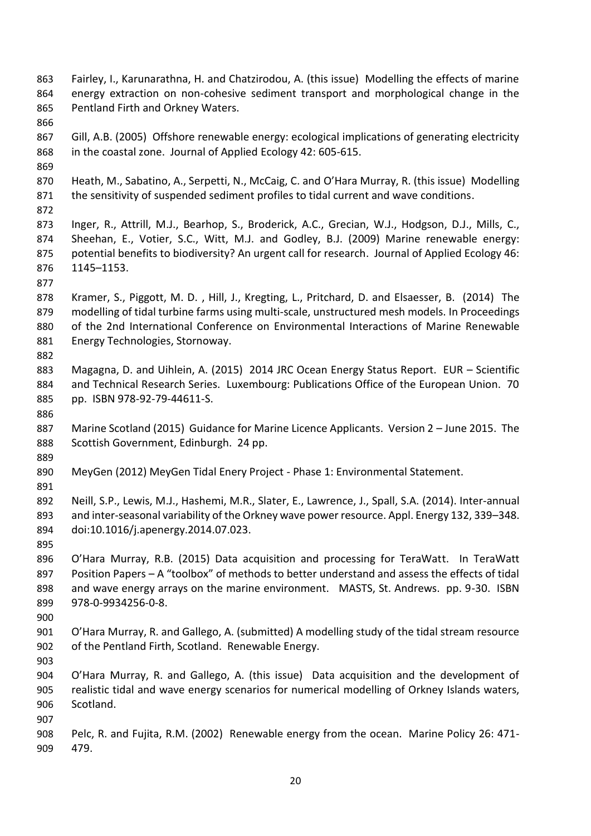- Fairley, I., Karunarathna, H. and Chatzirodou, A. (this issue) Modelling the effects of marine energy extraction on non-cohesive sediment transport and morphological change in the Pentland Firth and Orkney Waters.
- 
- Gill, A.B. (2005) Offshore renewable energy: ecological implications of generating electricity in the coastal zone. Journal of Applied Ecology 42: 605-615.
- Heath, M., Sabatino, A., Serpetti, N., McCaig, C. and O'Hara Murray, R. (this issue) Modelling 871 the sensitivity of suspended sediment profiles to tidal current and wave conditions.
- 
- Inger, R., Attrill, M.J., Bearhop, S., Broderick, A.C., Grecian, W.J., Hodgson, D.J., Mills, C., Sheehan, E., Votier, S.C., Witt, M.J. and Godley, B.J. (2009) Marine renewable energy: potential benefits to biodiversity? An urgent call for research. Journal of Applied Ecology 46: 1145–1153.
- 
- Kramer, S., Piggott, M. D. , Hill, J., Kregting, L., Pritchard, D. and Elsaesser, B. (2014) The modelling of tidal turbine farms using multi-scale, unstructured mesh models. In Proceedings of the 2nd International Conference on Environmental Interactions of Marine Renewable Energy Technologies, Stornoway.
- 

- Magagna, D. and Uihlein, A. (2015) 2014 JRC Ocean Energy Status Report. EUR Scientific 884 and Technical Research Series. Luxembourg: Publications Office of the European Union. 70 pp. ISBN 978-92-79-44611-S.
- Marine Scotland (2015) Guidance for Marine Licence Applicants. Version 2 June 2015. The Scottish Government, Edinburgh. 24 pp.
- MeyGen (2012) MeyGen Tidal Enery Project Phase 1: Environmental Statement.
- 
- Neill, S.P., Lewis, M.J., Hashemi, M.R., Slater, E., Lawrence, J., Spall, S.A. (2014). Inter-annual and inter-seasonal variability of the Orkney wave power resource. Appl. Energy 132, 339–348. doi:10.1016/j.apenergy.2014.07.023.
- 
- O'Hara Murray, R.B. (2015) Data acquisition and processing for TeraWatt. In TeraWatt Position Papers – A "toolbox" of methods to better understand and assess the effects of tidal and wave energy arrays on the marine environment. MASTS, St. Andrews. pp. 9-30. ISBN 978-0-9934256-0-8.
- 
- O'Hara Murray, R. and Gallego, A. (submitted) A modelling study of the tidal stream resource of the Pentland Firth, Scotland. Renewable Energy.
- 
- O'Hara Murray, R. and Gallego, A. (this issue) Data acquisition and the development of realistic tidal and wave energy scenarios for numerical modelling of Orkney Islands waters, Scotland.
- 
- Pelc, R. and Fujita, R.M. (2002) Renewable energy from the ocean. Marine Policy 26: 471- 479.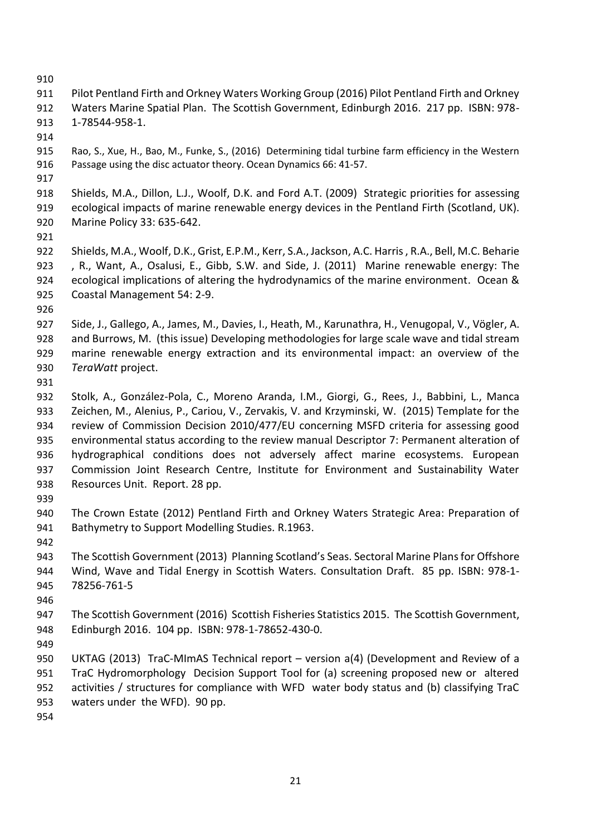- 
- Pilot Pentland Firth and Orkney Waters Working Group (2016) Pilot Pentland Firth and Orkney Waters Marine Spatial Plan. The Scottish Government, Edinburgh 2016. 217 pp. ISBN: 978-
- 1-78544-958-1.
- 
- Rao, S., Xue, H., Bao, M., Funke, S., (2016) Determining tidal turbine farm efficiency in the Western Passage using the disc actuator theory. Ocean Dynamics 66: 41-57.
- 
- Shields, M.A., Dillon, L.J., Woolf, D.K. and Ford A.T. (2009) Strategic priorities for assessing 919 ecological impacts of marine renewable energy devices in the Pentland Firth (Scotland, UK). Marine Policy 33: 635-642.
- 

 Shields, M.A., Woolf, D.K., Grist, E.P.M., Kerr, S.A., Jackson, A.C. Harris , R.A., Bell, M.C. Beharie , R., Want, A., Osalusi, E., Gibb, S.W. and Side, J. (2011) Marine renewable energy: The ecological implications of altering the hydrodynamics of the marine environment. Ocean & Coastal Management 54: 2-9.

 Side, J., Gallego, A., James, M., Davies, I., Heath, M., Karunathra, H., Venugopal, V., Vögler, A. and Burrows, M. (this issue) Developing methodologies for large scale wave and tidal stream marine renewable energy extraction and its environmental impact: an overview of the *TeraWatt* project.

 Stolk, A., González‐Pola, C., Moreno Aranda, I.M., Giorgi, G., Rees, J., Babbini, L., Manca Zeichen, M., Alenius, P., Cariou, V., Zervakis, V. and Krzyminski, W. (2015) Template for the review of Commission Decision 2010/477/EU concerning MSFD criteria for assessing good environmental status according to the review manual Descriptor 7: Permanent alteration of hydrographical conditions does not adversely affect marine ecosystems. European Commission Joint Research Centre, Institute for Environment and Sustainability Water Resources Unit. Report. 28 pp.

- 
- The Crown Estate (2012) Pentland Firth and Orkney Waters Strategic Area: Preparation of 941 Bathymetry to Support Modelling Studies. R.1963.
- 

 The Scottish Government (2013) Planning Scotland's Seas. Sectoral Marine Plans for Offshore Wind, Wave and Tidal Energy in Scottish Waters. Consultation Draft. 85 pp. ISBN: 978-1- 78256-761-5

 The Scottish Government (2016) Scottish Fisheries Statistics 2015. The Scottish Government, Edinburgh 2016. 104 pp. ISBN: 978-1-78652-430-0.

 UKTAG (2013) TraC-MImAS Technical report – version a(4) (Development and Review of a TraC Hydromorphology Decision Support Tool for (a) screening proposed new or altered activities / structures for compliance with WFD water body status and (b) classifying TraC waters under the WFD). 90 pp.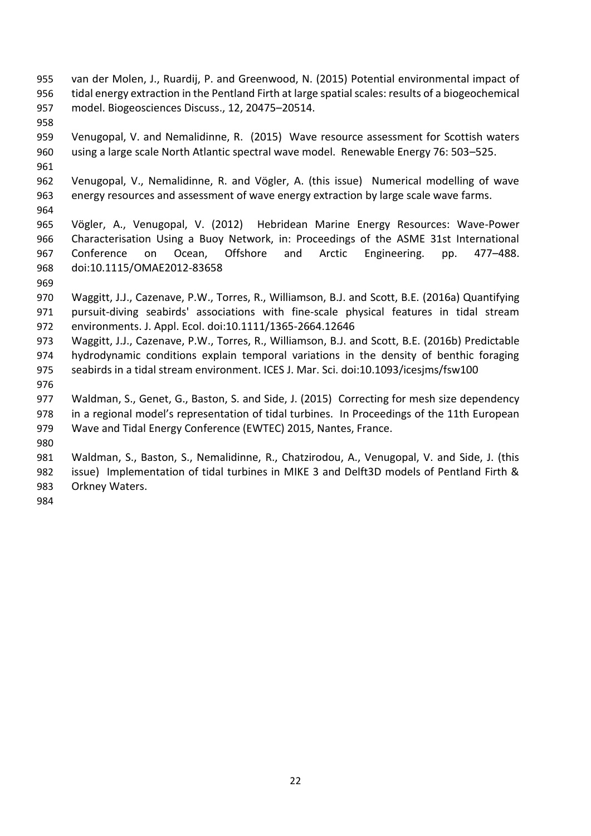- van der Molen, J., Ruardij, P. and Greenwood, N. (2015) Potential environmental impact of tidal energy extraction in the Pentland Firth at large spatial scales: results of a biogeochemical model. Biogeosciences Discuss., 12, 20475–20514.
- 
- Venugopal, V. and Nemalidinne, R. (2015) Wave resource assessment for Scottish waters using a large scale North Atlantic spectral wave model. Renewable Energy 76: 503–525.
- Venugopal, V., Nemalidinne, R. and Vögler, A. (this issue) Numerical modelling of wave energy resources and assessment of wave energy extraction by large scale wave farms.
- Vögler, A., Venugopal, V. (2012) Hebridean Marine Energy Resources: Wave-Power Characterisation Using a Buoy Network, in: Proceedings of the ASME 31st International Conference on Ocean, Offshore and Arctic Engineering. pp. 477–488. doi:10.1115/OMAE2012-83658
- 

- Waggitt, J.J., Cazenave, P.W., Torres, R., Williamson, B.J. and Scott, B.E. (2016a) Quantifying pursuit-diving seabirds' associations with fine-scale physical features in tidal stream environments. J. Appl. Ecol. doi:10.1111/1365-2664.12646
- Waggitt, J.J., Cazenave, P.W., Torres, R., Williamson, B.J. and Scott, B.E. (2016b) Predictable hydrodynamic conditions explain temporal variations in the density of benthic foraging seabirds in a tidal stream environment. ICES J. Mar. Sci. doi:10.1093/icesjms/fsw100
- 
- Waldman, S., Genet, G., Baston, S. and Side, J. (2015) Correcting for mesh size dependency in a regional model's representation of tidal turbines. In Proceedings of the 11th European Wave and Tidal Energy Conference (EWTEC) 2015, Nantes, France.
- 
- Waldman, S., Baston, S., Nemalidinne, R., Chatzirodou, A., Venugopal, V. and Side, J. (this issue) Implementation of tidal turbines in MIKE 3 and Delft3D models of Pentland Firth & Orkney Waters.
-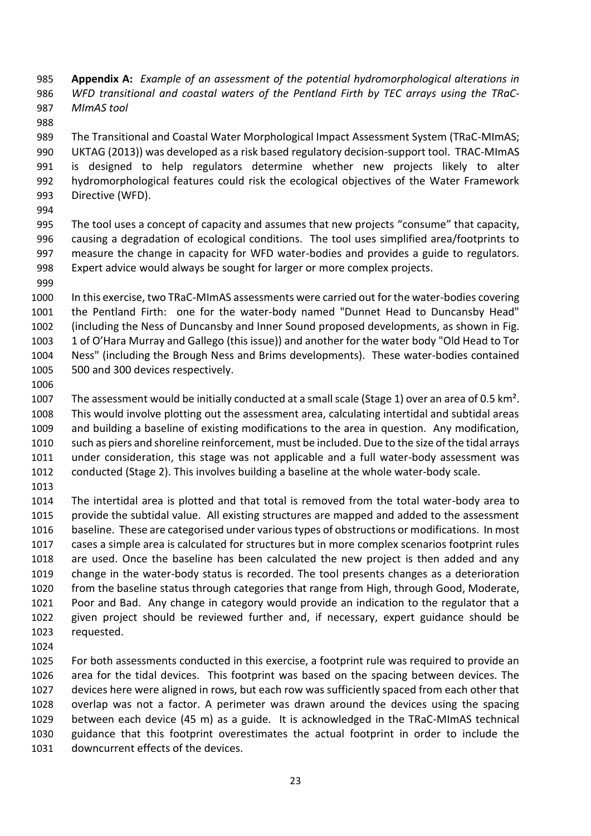**Appendix A:** *Example of an assessment of the potential hydromorphological alterations in WFD transitional and coastal waters of the Pentland Firth by TEC arrays using the TRaC-MImAS tool*

 The Transitional and Coastal Water Morphological Impact Assessment System (TRaC-MImAS; UKTAG (2013)) was developed as a risk based regulatory decision-support tool. TRAC-MImAS is designed to help regulators determine whether new projects likely to alter hydromorphological features could risk the ecological objectives of the Water Framework Directive (WFD).

 The tool uses a concept of capacity and assumes that new projects "consume" that capacity, causing a degradation of ecological conditions. The tool uses simplified area/footprints to measure the change in capacity for WFD water-bodies and provides a guide to regulators. Expert advice would always be sought for larger or more complex projects.

 In this exercise, two TRaC-MImAS assessments were carried out for the water-bodies covering the Pentland Firth: one for the water-body named "Dunnet Head to Duncansby Head" (including the Ness of Duncansby and Inner Sound proposed developments, as shown in Fig. 1 of O'Hara Murray and Gallego (this issue)) and another for the water body "Old Head to Tor Ness" (including the Brough Ness and Brims developments). These water-bodies contained 500 and 300 devices respectively.

1007 The assessment would be initially conducted at a small scale (Stage 1) over an area of 0.5 km<sup>2</sup>. This would involve plotting out the assessment area, calculating intertidal and subtidal areas and building a baseline of existing modifications to the area in question. Any modification, such as piers and shoreline reinforcement, must be included. Due to the size of the tidal arrays under consideration, this stage was not applicable and a full water-body assessment was conducted (Stage 2). This involves building a baseline at the whole water-body scale.

 The intertidal area is plotted and that total is removed from the total water-body area to provide the subtidal value. All existing structures are mapped and added to the assessment baseline. These are categorised under various types of obstructions or modifications. In most cases a simple area is calculated for structures but in more complex scenarios footprint rules are used. Once the baseline has been calculated the new project is then added and any change in the water-body status is recorded. The tool presents changes as a deterioration from the baseline status through categories that range from High, through Good, Moderate, Poor and Bad. Any change in category would provide an indication to the regulator that a given project should be reviewed further and, if necessary, expert guidance should be requested.

 For both assessments conducted in this exercise, a footprint rule was required to provide an area for the tidal devices. This footprint was based on the spacing between devices. The devices here were aligned in rows, but each row was sufficiently spaced from each other that overlap was not a factor. A perimeter was drawn around the devices using the spacing between each device (45 m) as a guide. It is acknowledged in the TRaC-MImAS technical guidance that this footprint overestimates the actual footprint in order to include the downcurrent effects of the devices.